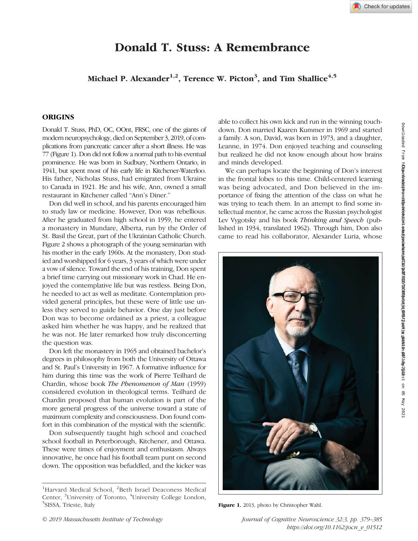# Donald T. Stuss: A Remembrance

## Michael P. Alexander $^{1,2}$ , Terence W. Picton $^3$ , and Tim Shallice $^{4,5}$

## **ORIGINS**

Donald T. Stuss, PhD, OC, OOnt, FRSC, one of the giants of modern neuropsychology, died on September 3, 2019, of complications from pancreatic cancer after a short illness. He was 77 (Figure 1). Don did not follow a normal path to his eventual prominence. He was born in Sudbury, Northern Ontario, in 1941, but spent most of his early life in Kitchener-Waterloo. His father, Nicholas Stuss, had emigrated from Ukraine to Canada in 1921. He and his wife, Ann, owned a small restaurant in Kitchener called "Ann's Diner."

Don did well in school, and his parents encouraged him to study law or medicine. However, Don was rebellious. After he graduated from high school in 1959, he entered a monastery in Mundare, Alberta, run by the Order of St. Basil the Great, part of the Ukrainian Catholic Church. Figure 2 shows a photograph of the young seminarian with his mother in the early 1960s. At the monastery, Don studied and worshipped for 6 years, 3 years of which were under a vow of silence. Toward the end of his training, Don spent a brief time carrying out missionary work in Chad. He enjoyed the contemplative life but was restless. Being Don, he needed to act as well as meditate. Contemplation provided general principles, but these were of little use unless they served to guide behavior. One day just before Don was to become ordained as a priest, a colleague asked him whether he was happy, and he realized that he was not. He later remarked how truly disconcerting the question was.

Don left the monastery in 1965 and obtained bachelor's degrees in philosophy from both the University of Ottawa and St. Paul's University in 1967. A formative influence for him during this time was the work of Pierre Teilhard de Chardin, whose book The Phenomenon of Man (1959) considered evolution in theological terms. Teilhard de Chardin proposed that human evolution is part of the more general progress of the universe toward a state of maximum complexity and consciousness. Don found comfort in this combination of the mystical with the scientific.

Don subsequently taught high school and coached school football in Peterborough, Kitchener, and Ottawa. These were times of enjoyment and enthusiasm. Always innovative, he once had his football team punt on second down. The opposition was befuddled, and the kicker was able to collect his own kick and run in the winning touchdown. Don married Kaaren Kummer in 1969 and started a family. A son, David, was born in 1973, and a daughter, Leanne, in 1974. Don enjoyed teaching and counseling but realized he did not know enough about how brains and minds developed.

We can perhaps locate the beginning of Don's interest in the frontal lobes to this time. Child-centered learning was being advocated, and Don believed in the importance of fixing the attention of the class on what he was trying to teach them. In an attempt to find some intellectual mentor, he came across the Russian psychologist Lev Vygotsky and his book Thinking and Speech (published in 1934, translated 1962). Through him, Don also came to read his collaborator, Alexander Luria, whose



Downloaded from http://mitprc.silverchair.com/jocn/article-pdf/32/3/379/1861095/jocn\_e\_01512.pdf by guest on 05 May 2021 Downloaded from http://direct.mit.edu/jocn/article-pdf/32/3/379/2013088/jocn\_e\_01512.pdf by guest on 05 July 2022

<sup>&</sup>lt;sup>1</sup>Harvard Medical School, <sup>2</sup>Beth Israel Deaconess Medical Center, <sup>3</sup>University of Toronto, <sup>4</sup>University College London,<br><sup>5</sup>SISSA, Trieste Italy  $^{5}$ SISSA, Trieste, Italy Figure 1. 2013, photo by Christopher Wahl.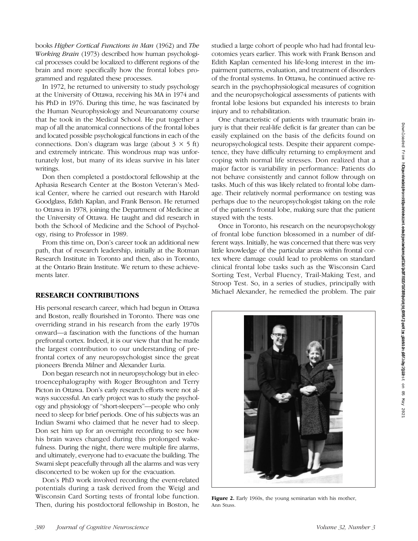books Higher Cortical Functions in Man (1962) and The Working Brain (1973) described how human psychological processes could be localized to different regions of the brain and more specifically how the frontal lobes programmed and regulated these processes.

In 1972, he returned to university to study psychology at the University of Ottawa, receiving his MA in 1974 and his PhD in 1976. During this time, he was fascinated by the Human Neurophysiology and Neuroanatomy course that he took in the Medical School. He put together a map of all the anatomical connections of the frontal lobes and located possible psychological functions in each of the connections. Don's diagram was large (about  $3 \times 5$  ft) and extremely intricate. This wondrous map was unfortunately lost, but many of its ideas survive in his later writings.

Don then completed a postdoctoral fellowship at the Aphasia Research Center at the Boston Veteran's Medical Center, where he carried out research with Harold Goodglass, Edith Kaplan, and Frank Benson. He returned to Ottawa in 1978, joining the Department of Medicine at the University of Ottawa. He taught and did research in both the School of Medicine and the School of Psychology, rising to Professor in 1989.

From this time on, Don's career took an additional new path, that of research leadership, initially at the Rotman Research Institute in Toronto and then, also in Toronto, at the Ontario Brain Institute. We return to these achievements later.

#### RESEARCH CONTRIBUTIONS

His personal research career, which had begun in Ottawa and Boston, really flourished in Toronto. There was one overriding strand in his research from the early 1970s onward—a fascination with the functions of the human prefrontal cortex. Indeed, it is our view that that he made the largest contribution to our understanding of prefrontal cortex of any neuropsychologist since the great pioneers Brenda Milner and Alexander Luria.

Don began research not in neuropsychology but in electroencephalography with Roger Broughton and Terry Picton in Ottawa. Don's early research efforts were not always successful. An early project was to study the psychology and physiology of "short-sleepers"—people who only need to sleep for brief periods. One of his subjects was an Indian Swami who claimed that he never had to sleep. Don set him up for an overnight recording to see how his brain waves changed during this prolonged wakefulness. During the night, there were multiple fire alarms, and ultimately, everyone had to evacuate the building. The Swami slept peacefully through all the alarms and was very disconcerted to be woken up for the evacuation.

Don's PhD work involved recording the event-related potentials during a task derived from the Weigl and Wisconsin Card Sorting tests of frontal lobe function. Then, during his postdoctoral fellowship in Boston, he studied a large cohort of people who had had frontal leucotomies years earlier. This work with Frank Benson and Edith Kaplan cemented his life-long interest in the impairment patterns, evaluation, and treatment of disorders of the frontal systems. In Ottawa, he continued active research in the psychophysiological measures of cognition and the neuropsychological assessments of patients with frontal lobe lesions but expanded his interests to brain injury and to rehabilitation.

One characteristic of patients with traumatic brain injury is that their real-life deficit is far greater than can be easily explained on the basis of the deficits found on neuropsychological tests. Despite their apparent competence, they have difficulty returning to employment and coping with normal life stresses. Don realized that a major factor is variability in performance: Patients do not behave consistently and cannot follow through on tasks. Much of this was likely related to frontal lobe damage. Their relatively normal performance on testing was perhaps due to the neuropsychologist taking on the role of the patient's frontal lobe, making sure that the patient stayed with the tests.

Once in Toronto, his research on the neuropsychology of frontal lobe function blossomed in a number of different ways. Initially, he was concerned that there was very little knowledge of the particular areas within frontal cortex where damage could lead to problems on standard clinical frontal lobe tasks such as the Wisconsin Card Sorting Test, Verbal Fluency, Trail-Making Test, and Stroop Test. So, in a series of studies, principally with Michael Alexander, he remedied the problem. The pair



Figure 2. Early 1960s, the young seminarian with his mother, Ann Stuss.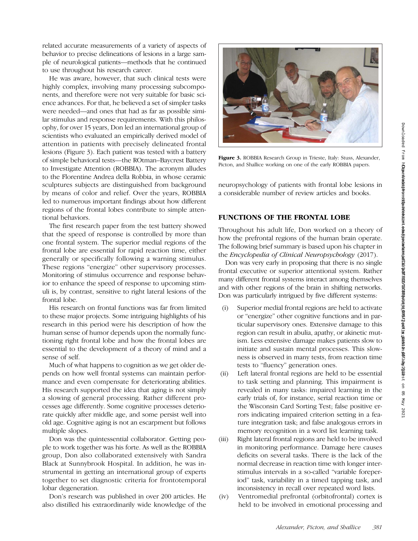related accurate measurements of a variety of aspects of behavior to precise delineations of lesions in a large sample of neurological patients—methods that he continued to use throughout his research career.

He was aware, however, that such clinical tests were highly complex, involving many processing subcomponents, and therefore were not very suitable for basic science advances. For that, he believed a set of simpler tasks were needed—and ones that had as far as possible similar stimulus and response requirements. With this philosophy, for over 15 years, Don led an international group of scientists who evaluated an empirically derived model of attention in patients with precisely delineated frontal lesions (Figure 3). Each patient was tested with a battery of simple behavioral tests—the ROtman–Baycrest Battery to Investigate Attention (ROBBIA). The acronym alludes to the Florentine Andrea della Robbia, in whose ceramic sculptures subjects are distinguished from background by means of color and relief. Over the years, ROBBIA led to numerous important findings about how different regions of the frontal lobes contribute to simple attentional behaviors.

The first research paper from the test battery showed that the speed of response is controlled by more than one frontal system. The superior medial regions of the frontal lobe are essential for rapid reaction time, either generally or specifically following a warning stimulus. These regions "energize" other supervisory processes. Monitoring of stimulus occurrence and response behavior to enhance the speed of response to upcoming stimuli is, by contrast, sensitive to right lateral lesions of the frontal lobe.

His research on frontal functions was far from limited to these major projects. Some intriguing highlights of his research in this period were his description of how the human sense of humor depends upon the normally functioning right frontal lobe and how the frontal lobes are essential to the development of a theory of mind and a sense of self.

Much of what happens to cognition as we get older depends on how well frontal systems can maintain performance and even compensate for deteriorating abilities. His research supported the idea that aging is not simply a slowing of general processing. Rather different processes age differently. Some cognitive processes deteriorate quickly after middle age, and some persist well into old age. Cognitive aging is not an escarpment but follows multiple slopes.

Don was the quintessential collaborator. Getting people to work together was his forte. As well as the ROBBIA group, Don also collaborated extensively with Sandra Black at Sunnybrook Hospital. In addition, he was instrumental in getting an international group of experts together to set diagnostic criteria for frontotemporal lobar degeneration.

Don's research was published in over 200 articles. He also distilled his extraordinarily wide knowledge of the



Figure 3. ROBBIA Research Group in Trieste, Italy: Stuss, Alexander, Picton, and Shallice working on one of the early ROBBIA papers.

neuropsychology of patients with frontal lobe lesions in a considerable number of review articles and books.

## FUNCTIONS OF THE FRONTAL LOBE

Throughout his adult life, Don worked on a theory of how the prefrontal regions of the human brain operate. The following brief summary is based upon his chapter in the Encyclopedia of Clinical Neuropsychology (2017).

Don was very early in proposing that there is no single frontal executive or superior attentional system. Rather many different frontal systems interact among themselves and with other regions of the brain in shifting networks. Don was particularly intrigued by five different systems:

- (i) Superior medial frontal regions are held to activate or "energize" other cognitive functions and in particular supervisory ones. Extensive damage to this region can result in abulia, apathy, or akinetic mutism. Less extensive damage makes patients slow to initiate and sustain mental processes. This slowness is observed in many tests, from reaction time tests to "fluency" generation ones.
- (ii) Left lateral frontal regions are held to be essential to task setting and planning. This impairment is revealed in many tasks: impaired learning in the early trials of, for instance, serial reaction time or the Wisconsin Card Sorting Test; false positive errors indicating impaired criterion setting in a feature integration task; and false analogous errors in memory recognition in a word list learning task.
- (iii) Right lateral frontal regions are held to be involved in monitoring performance. Damage here causes deficits on several tasks. There is the lack of the normal decrease in reaction time with longer interstimulus intervals in a so-called "variable foreperiod" task, variability in a timed tapping task, and inconsistency in recall over repeated word lists.
- (iv) Ventromedial prefrontal (orbitofrontal) cortex is held to be involved in emotional processing and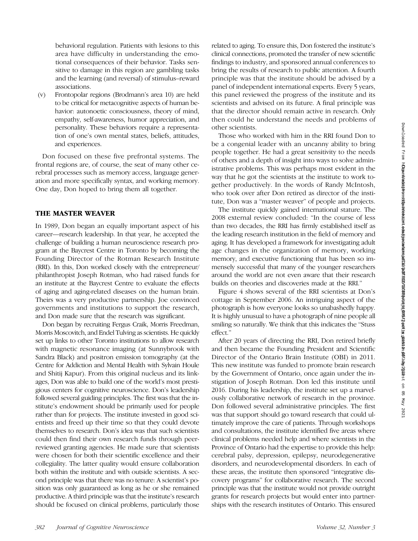behavioral regulation. Patients with lesions to this area have difficulty in understanding the emotional consequences of their behavior. Tasks sensitive to damage in this region are gambling tasks and the learning (and reversal) of stimulus–reward associations.

(v) Frontopolar regions (Brodmann's area 10) are held to be critical for metacognitive aspects of human behavior: autonoetic consciousness, theory of mind, empathy, self-awareness, humor appreciation, and personality. These behaviors require a representation of one's own mental states, beliefs, attitudes, and experiences.

Don focused on these five prefrontal systems. The frontal regions are, of course, the seat of many other cerebral processes such as memory access, language generation and more specifically syntax, and working memory. One day, Don hoped to bring them all together.

### THE MASTER WEAVER

In 1989, Don began an equally important aspect of his career—research leadership. In that year, he accepted the challenge of building a human neuroscience research program at the Baycrest Centre in Toronto by becoming the Founding Director of the Rotman Research Institute (RRI). In this, Don worked closely with the entrepreneur/ philanthropist Joseph Rotman, who had raised funds for an institute at the Baycrest Centre to evaluate the effects of aging and aging-related diseases on the human brain. Theirs was a very productive partnership. Joe convinced governments and institutions to support the research, and Don made sure that the research was significant.

Don began by recruiting Fergus Craik, Morris Freedman, Morris Moscovitch, and Endel Tulving as scientists. He quickly set up links to other Toronto institutions to allow research with magnetic resonance imaging (at Sunnybrook with Sandra Black) and positron emission tomography (at the Centre for Addiction and Mental Health with Sylvain Houle and Shitij Kapur). From this original nucleus and its linkages, Don was able to build one of the world's most prestigious centers for cognitive neuroscience. Don's leadership followed several guiding principles. The first was that the institute's endowment should be primarily used for people rather than for projects. The institute invested in good scientists and freed up their time so that they could devote themselves to research. Don's idea was that such scientists could then find their own research funds through peerreviewed granting agencies. He made sure that scientists were chosen for both their scientific excellence and their collegiality. The latter quality would ensure collaboration both within the institute and with outside scientists. A second principle was that there was no tenure: A scientist's position was only guaranteed as long as he or she remained productive. A third principle was that the institute's research should be focused on clinical problems, particularly those

related to aging. To ensure this, Don fostered the institute's clinical connections, promoted the transfer of new scientific findings to industry, and sponsored annual conferences to bring the results of research to public attention. A fourth principle was that the institute should be advised by a panel of independent international experts. Every 5 years, this panel reviewed the progress of the institute and its scientists and advised on its future. A final principle was that the director should remain active in research. Only then could he understand the needs and problems of other scientists.

Those who worked with him in the RRI found Don to be a congenial leader with an uncanny ability to bring people together. He had a great sensitivity to the needs of others and a depth of insight into ways to solve administrative problems. This was perhaps most evident in the way that he got the scientists at the institute to work together productively. In the words of Randy McIntosh, who took over after Don retired as director of the institute, Don was a "master weaver" of people and projects.

The institute quickly gained international stature. The 2008 external review concluded: "In the course of less than two decades, the RRI has firmly established itself as the leading research institution in the field of memory and aging. It has developed a framework for investigating adult age changes in the organization of memory, working memory, and executive functioning that has been so immensely successful that many of the younger researchers around the world are not even aware that their research builds on theories and discoveries made at the RRI."

Figure 4 shows several of the RRI scientists at Don's cottage in September 2006. An intriguing aspect of the photograph is how everyone looks so unabashedly happy. It is highly unusual to have a photograph of nine people all smiling so naturally. We think that this indicates the "Stuss effect."

After 20 years of directing the RRI, Don retired briefly and then became the Founding President and Scientific Director of the Ontario Brain Institute (OBI) in 2011. This new institute was funded to promote brain research by the Government of Ontario, once again under the instigation of Joseph Rotman. Don led this institute until 2016. During his leadership, the institute set up a marvelously collaborative network of research in the province. Don followed several administrative principles. The first was that support should go toward research that could ultimately improve the care of patients. Through workshops and consultations, the institute identified five areas where clinical problems needed help and where scientists in the Province of Ontario had the expertise to provide this help: cerebral palsy, depression, epilepsy, neurodegenerative disorders, and neurodevelopmental disorders. In each of these areas, the institute then sponsored "integrative discovery programs" for collaborative research. The second principle was that the institute would not provide outright grants for research projects but would enter into partnerships with the research institutes of Ontario. This ensured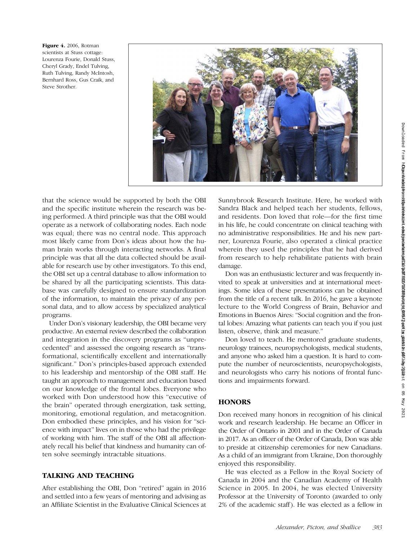Figure 4. 2006, Rotman scientists at Stuss cottage: Lourenza Fourie, Donald Stuss, Cheryl Grady, Endel Tulving, Ruth Tulving, Randy McIntosh, Bernhard Ross, Gus Craik, and Steve Strother.



that the science would be supported by both the OBI and the specific institute wherein the research was being performed. A third principle was that the OBI would operate as a network of collaborating nodes. Each node was equal; there was no central node. This approach most likely came from Don's ideas about how the human brain works through interacting networks. A final principle was that all the data collected should be available for research use by other investigators. To this end, the OBI set up a central database to allow information to be shared by all the participating scientists. This database was carefully designed to ensure standardization of the information, to maintain the privacy of any personal data, and to allow access by specialized analytical programs.

Under Don's visionary leadership, the OBI became very productive. An external review described the collaboration and integration in the discovery programs as "unprecedented" and assessed the ongoing research as "transformational, scientifically excellent and internationally significant." Don's principles-based approach extended to his leadership and mentorship of the OBI staff. He taught an approach to management and education based on our knowledge of the frontal lobes. Everyone who worked with Don understood how this "executive of the brain" operated through energization, task setting, monitoring, emotional regulation, and metacognition. Don embodied these principles, and his vision for "science with impact" lives on in those who had the privilege of working with him. The staff of the OBI all affectionately recall his belief that kindness and humanity can often solve seemingly intractable situations.

## TALKING AND TEACHING

After establishing the OBI, Don "retired" again in 2016 and settled into a few years of mentoring and advising as an Affiliate Scientist in the Evaluative Clinical Sciences at Sunnybrook Research Institute. Here, he worked with Sandra Black and helped teach her students, fellows, and residents. Don loved that role—for the first time in his life, he could concentrate on clinical teaching with no administrative responsibilities. He and his new partner, Lourenza Fourie, also operated a clinical practice wherein they used the principles that he had derived from research to help rehabilitate patients with brain damage.

Don was an enthusiastic lecturer and was frequently invited to speak at universities and at international meetings. Some idea of these presentations can be obtained from the title of a recent talk. In 2016, he gave a keynote lecture to the World Congress of Brain, Behavior and Emotions in Buenos Aires: "Social cognition and the frontal lobes: Amazing what patients can teach you if you just listen, observe, think and measure."

Don loved to teach. He mentored graduate students, neurology trainees, neuropsychologists, medical students, and anyone who asked him a question. It is hard to compute the number of neuroscientists, neuropsychologists, and neurologists who carry his notions of frontal functions and impairments forward.

## **HONORS**

Don received many honors in recognition of his clinical work and research leadership. He became an Officer in the Order of Ontario in 2001 and in the Order of Canada in 2017. As an officer of the Order of Canada, Don was able to preside at citizenship ceremonies for new Canadians. As a child of an immigrant from Ukraine, Don thoroughly enjoyed this responsibility.

He was elected as a Fellow in the Royal Society of Canada in 2004 and the Canadian Academy of Health Science in 2005. In 2004, he was elected University Professor at the University of Toronto (awarded to only 2% of the academic staff ). He was elected as a fellow in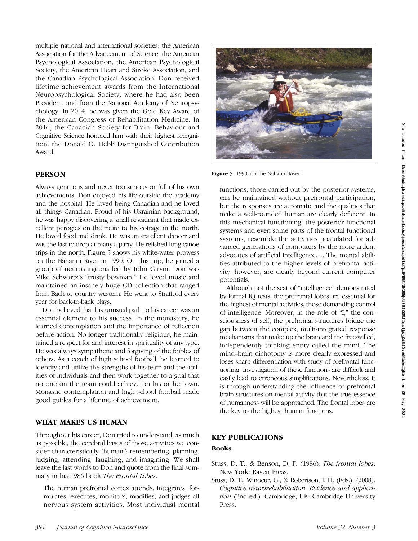multiple national and international societies: the American Association for the Advancement of Science, the American Psychological Association, the American Psychological Society, the American Heart and Stroke Association, and the Canadian Psychological Association. Don received lifetime achievement awards from the International Neuropsychological Society, where he had also been President, and from the National Academy of Neuropsychology. In 2014, he was given the Gold Key Award of the American Congress of Rehabilitation Medicine. In 2016, the Canadian Society for Brain, Behaviour and Cognitive Science honored him with their highest recognition: the Donald O. Hebb Distinguished Contribution Award.

## **PERSON**

Always generous and never too serious or full of his own achievements, Don enjoyed his life outside the academy and the hospital. He loved being Canadian and he loved all things Canadian. Proud of his Ukrainian background, he was happy discovering a small restaurant that made excellent perogies on the route to his cottage in the north. He loved food and drink. He was an excellent dancer and was the last to drop at many a party. He relished long canoe trips in the north. Figure 5 shows his white-water prowess on the Nahanni River in 1990. On this trip, he joined a group of neurosurgeons led by John Girvin. Don was Mike Schwartz's "trusty bowman." He loved music and maintained an insanely huge CD collection that ranged from Bach to country western. He went to Stratford every year for back-to-back plays.

Don believed that his unusual path to his career was an essential element to his success. In the monastery, he learned contemplation and the importance of reflection before action. No longer traditionally religious, he maintained a respect for and interest in spirituality of any type. He was always sympathetic and forgiving of the foibles of others. As a coach of high school football, he learned to identify and utilize the strengths of his team and the abilities of individuals and then work together to a goal that no one on the team could achieve on his or her own. Monastic contemplation and high school football made good guides for a lifetime of achievement.

## WHAT MAKES US HUMAN

Throughout his career, Don tried to understand, as much as possible, the cerebral bases of those activities we consider characteristically "human": remembering, planning, judging, attending, laughing, and imagining. We shall leave the last words to Don and quote from the final summary in his 1986 book The Frontal Lobes.

The human prefrontal cortex attends, integrates, formulates, executes, monitors, modifies, and judges all nervous system activities. Most individual mental



Figure 5. 1990, on the Nahanni River.

functions, those carried out by the posterior systems, can be maintained without prefrontal participation, but the responses are automatic and the qualities that make a well-rounded human are clearly deficient. In this mechanical functioning, the posterior functional systems and even some parts of the frontal functional systems, resemble the activities postulated for advanced generations of computers by the more ardent advocates of artificial intelligence…. The mental abilities attributed to the higher levels of prefrontal activity, however, are clearly beyond current computer potentials.

Although not the seat of "intelligence" demonstrated by formal IQ tests, the prefrontal lobes are essential for the highest of mental activities, those demanding control of intelligence. Moreover, in the role of "I," the consciousness of self, the prefrontal structures bridge the gap between the complex, multi-integrated response mechanisms that make up the brain and the free-willed, independently thinking entity called the mind. The mind–brain dichotomy is more clearly expressed and loses sharp differentiation with study of prefrontal functioning. Investigation of these functions are difficult and easily lead to erroneous simplifications. Nevertheless, it is through understanding the influence of prefrontal brain structures on mental activity that the true essence of humanness will be approached. The frontal lobes are the key to the highest human functions.

## KEY PUBLICATIONS

#### Books

Stuss, D. T., & Benson, D. F. (1986). The frontal lobes. New York: Raven Press.

Stuss, D. T., Winocur, G., & Robertson, I. H. (Eds.). (2008). Cognitive neurorehabilitation: Evidence and application (2nd ed.). Cambridge, UK: Cambridge University Press.